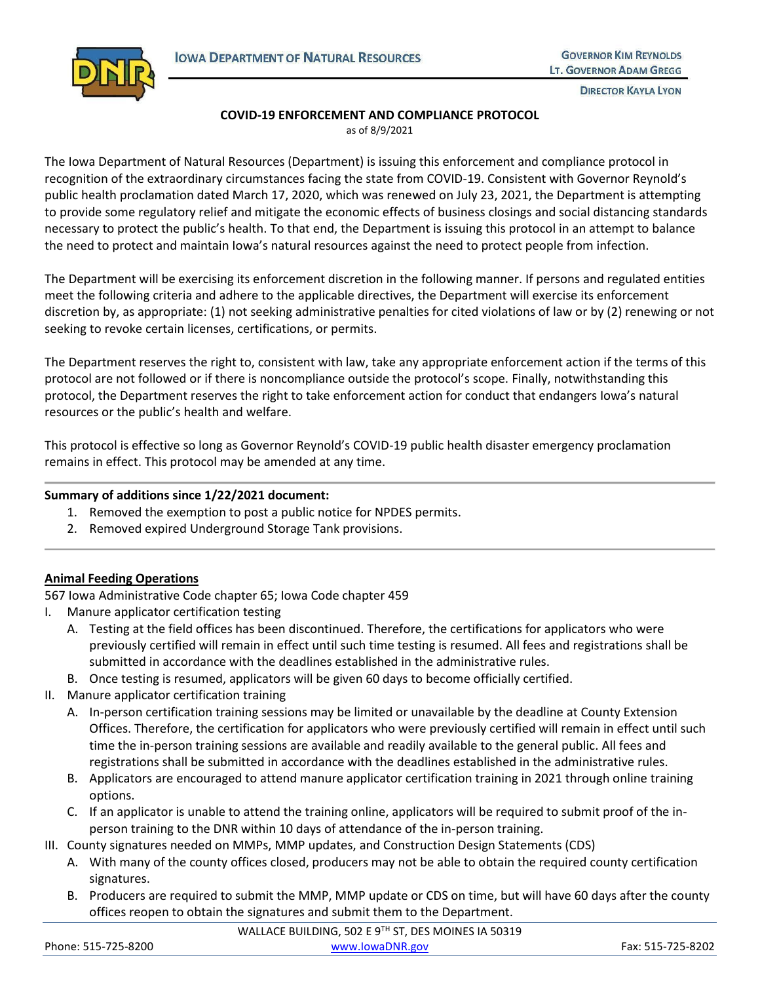

**DIRECTOR KAYLA LYON** 

### **COVID-19 ENFORCEMENT AND COMPLIANCE PROTOCOL**

as of 8/9/2021

The Iowa Department of Natural Resources (Department) is issuing this enforcement and compliance protocol in recognition of the extraordinary circumstances facing the state from COVID-19. Consistent with Governor Reynold's public health proclamation dated March 17, 2020, which was renewed on July 23, 2021, the Department is attempting to provide some regulatory relief and mitigate the economic effects of business closings and social distancing standards necessary to protect the public's health. To that end, the Department is issuing this protocol in an attempt to balance the need to protect and maintain Iowa's natural resources against the need to protect people from infection.

The Department will be exercising its enforcement discretion in the following manner. If persons and regulated entities meet the following criteria and adhere to the applicable directives, the Department will exercise its enforcement discretion by, as appropriate: (1) not seeking administrative penalties for cited violations of law or by (2) renewing or not seeking to revoke certain licenses, certifications, or permits.

The Department reserves the right to, consistent with law, take any appropriate enforcement action if the terms of this protocol are not followed or if there is noncompliance outside the protocol's scope. Finally, notwithstanding this protocol, the Department reserves the right to take enforcement action for conduct that endangers Iowa's natural resources or the public's health and welfare.

This protocol is effective so long as Governor Reynold's COVID-19 public health disaster emergency proclamation remains in effect. This protocol may be amended at any time.

#### **Summary of additions since 1/22/2021 document:**

- 1. Removed the exemption to post a public notice for NPDES permits.
- 2. Removed expired Underground Storage Tank provisions.

# **Animal Feeding Operations**

567 Iowa Administrative Code chapter 65; Iowa Code chapter 459

- Manure applicator certification testing
	- A. Testing at the field offices has been discontinued. Therefore, the certifications for applicators who were previously certified will remain in effect until such time testing is resumed. All fees and registrations shall be submitted in accordance with the deadlines established in the administrative rules.
	- B. Once testing is resumed, applicators will be given 60 days to become officially certified.
- II. Manure applicator certification training
	- A. In-person certification training sessions may be limited or unavailable by the deadline at County Extension Offices. Therefore, the certification for applicators who were previously certified will remain in effect until such time the in-person training sessions are available and readily available to the general public. All fees and registrations shall be submitted in accordance with the deadlines established in the administrative rules.
	- B. Applicators are encouraged to attend manure applicator certification training in 2021 through online training options.
	- C. If an applicator is unable to attend the training online, applicators will be required to submit proof of the inperson training to the DNR within 10 days of attendance of the in-person training.
- III. County signatures needed on MMPs, MMP updates, and Construction Design Statements (CDS)
	- A. With many of the county offices closed, producers may not be able to obtain the required county certification signatures.
	- B. Producers are required to submit the MMP, MMP update or CDS on time, but will have 60 days after the county offices reopen to obtain the signatures and submit them to the Department.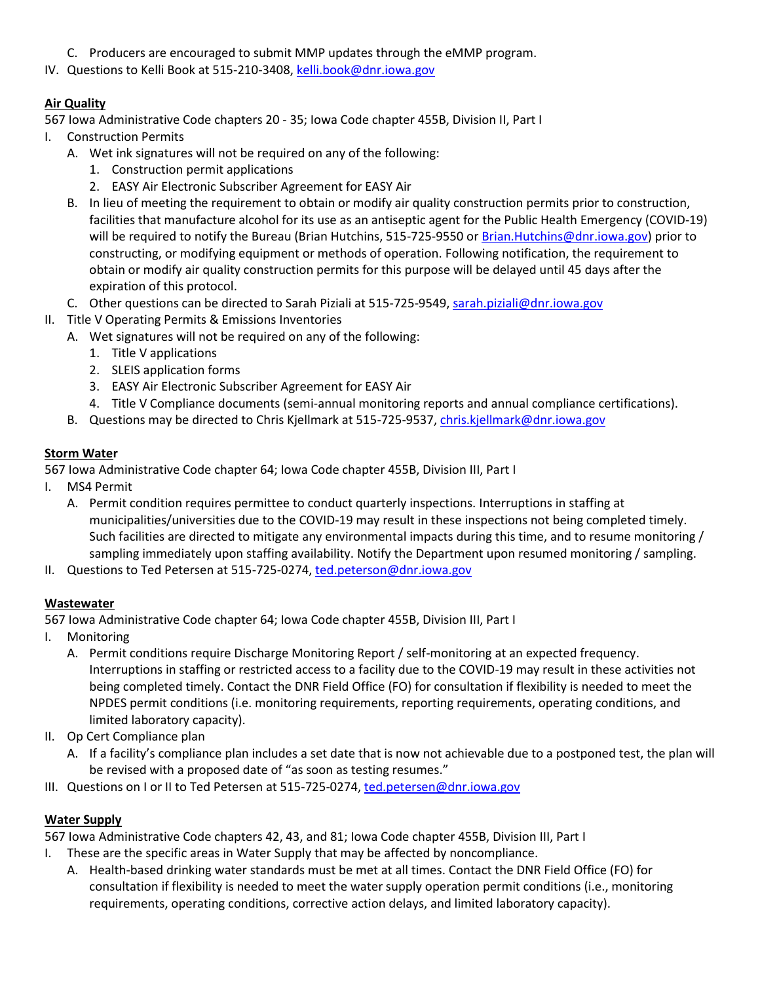- C. Producers are encouraged to submit MMP updates through the eMMP program.
- IV. Questions to Kelli Book at 515-210-3408, [kelli.book@dnr.iowa.gov](mailto:kelli.book@dnr.iowa.gov)

# **Air Quality**

567 Iowa Administrative Code chapters 20 - 35; Iowa Code chapter 455B, Division II, Part I

- I. Construction Permits
	- A. Wet ink signatures will not be required on any of the following:
		- 1. Construction permit applications
		- 2. EASY Air Electronic Subscriber Agreement for EASY Air
	- B. In lieu of meeting the requirement to obtain or modify air quality construction permits prior to construction, facilities that manufacture alcohol for its use as an antiseptic agent for the Public Health Emergency (COVID-19) will be required to notify the Bureau (Brian Hutchins, 515-725-9550 or [Brian.Hutchins@dnr.iowa.gov\)](mailto:Brian.Hutchins@dnr.iowa.gov) prior to constructing, or modifying equipment or methods of operation. Following notification, the requirement to obtain or modify air quality construction permits for this purpose will be delayed until 45 days after the expiration of this protocol.
	- C. Other questions can be directed to Sarah Piziali at 515-725-9549, [sarah.piziali@dnr.iowa.gov](mailto:sarah.piziali@dnr.iowa.gov)
- II. Title V Operating Permits & Emissions Inventories
	- A. Wet signatures will not be required on any of the following:
		- 1. Title V applications
		- 2. SLEIS application forms
		- 3. EASY Air Electronic Subscriber Agreement for EASY Air
		- 4. Title V Compliance documents (semi-annual monitoring reports and annual compliance certifications).
	- B. Questions may be directed to Chris Kjellmark at 515-725-9537[, chris.kjellmark@dnr.iowa.gov](mailto:chris.kjellmark@dnr.iowa.gov)

# **Storm Water**

567 Iowa Administrative Code chapter 64; Iowa Code chapter 455B, Division III, Part I

I. MS4 Permit

- A. Permit condition requires permittee to conduct quarterly inspections. Interruptions in staffing at municipalities/universities due to the COVID-19 may result in these inspections not being completed timely. Such facilities are directed to mitigate any environmental impacts during this time, and to resume monitoring / sampling immediately upon staffing availability. Notify the Department upon resumed monitoring / sampling.
- II. Questions to Ted Petersen at 515-725-0274, [ted.peterson@dnr.iowa.gov](mailto:ted.peterson@dnr.iowa.gov)

# **Wastewater**

567 Iowa Administrative Code chapter 64; Iowa Code chapter 455B, Division III, Part I

- I. Monitoring
	- A. Permit conditions require Discharge Monitoring Report / self-monitoring at an expected frequency. Interruptions in staffing or restricted access to a facility due to the COVID-19 may result in these activities not being completed timely. Contact the DNR Field Office (FO) for consultation if flexibility is needed to meet the NPDES permit conditions (i.e. monitoring requirements, reporting requirements, operating conditions, and limited laboratory capacity).
- II. Op Cert Compliance plan
	- A. If a facility's compliance plan includes a set date that is now not achievable due to a postponed test, the plan will be revised with a proposed date of "as soon as testing resumes."
- III. Questions on I or II to Ted Petersen at 515-725-0274, [ted.petersen@dnr.iowa.gov](mailto:ted.petersen@dnr.iowa.gov)

# **Water Supply**

567 Iowa Administrative Code chapters 42, 43, and 81; Iowa Code chapter 455B, Division III, Part I

- I. These are the specific areas in Water Supply that may be affected by noncompliance.
	- A. Health-based drinking water standards must be met at all times. Contact the DNR Field Office (FO) for consultation if flexibility is needed to meet the water supply operation permit conditions (i.e., monitoring requirements, operating conditions, corrective action delays, and limited laboratory capacity).